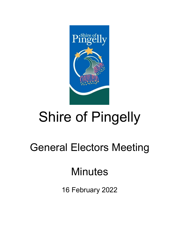

# Shire of Pingelly

## General Electors Meeting

### **Minutes**

16 February 2022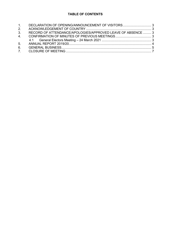### **TABLE OF CONTENTS**

| 1. DECLARATION OF OPENING/ANNOUNCEMENT OF VISITORS 3        |
|-------------------------------------------------------------|
|                                                             |
| RECORD OF ATTENDANCE/APOLOGIES/APPROVED LEAVE OF ABSENCE  3 |
|                                                             |
|                                                             |
|                                                             |
|                                                             |
|                                                             |
|                                                             |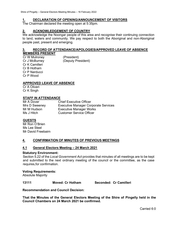#### <span id="page-2-0"></span>**1. DECLARATION OF OPENING/ANNOUNCEMENT OF VISITORS**

The Chairman declared the meeting open at 5:35pm.

#### <span id="page-2-1"></span>**2. ACKNOWLEDGEMENT OF COUNTRY**

We acknowledge the Noongar people of this area and recognise their continuing connection to land, waters and community. We pay respect to both the Aboriginal and non-Aboriginal people past, present and emerging.

#### <span id="page-2-2"></span>**3. RECORD OF ATTENDANCE/APOLOGIES/APPROVED LEAVE OF ABSENCE MEMBERS PRESENT**

Cr W Mulroney (President)<br>Cr J McBurney (Deputy Pre (Deputy President) Cr K Camilleri Cr B Hotham Cr P Narducci Cr P Wood

#### **APPROVED LEAVE OF ABSENCE**

Cr A Oliveri Cr K Singh

#### **STAFF IN ATTENDANCE**

Mr A Dover Chief Executive Officer Mrs D Sweeney Executive Manager Corporate Services Mr M Hudson **Executive Manager Works**<br>
Ms J Hitch **Customer Service Officer Customer Service Officer** 

#### **GUESTS**

Mr Ron O'Brien Ms Lee Steel Mr David Freebairn

#### <span id="page-2-3"></span>**4. CONFIRMATION OF MINUTES OF PREVIOUS MEETINGS**

#### <span id="page-2-4"></span>**4.1 General Electors Meeting – 24 March 2021**

#### **Statutory Environment:**

Section 5.22 of the *Local Government Act* provides that minutes of all meetings are to be kept and submitted to the next ordinary meeting of the council or the committee, as the case requires,for confirmation.

#### **Voting Requirements:**

Absolute Majority

**13111 Moved: Cr Hotham Seconded: Cr Camilleri**

**Recommendation and Council Decision:**

**That the Minutes of the General Electors Meeting of the Shire of Pingelly held in the Council Chambers on 24 March 2021 be confirmed.**

Carried 6:0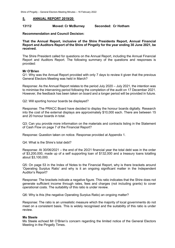#### <span id="page-3-0"></span>**5. ANNUAL REPORT 2019/20**

#### **13112 Moved: Cr McBurney Seconded: Cr Hotham**

**Recommendation and Council Decision:**

**That the Annual Report, inclusive of the Shire Presidents Report, Annual Financial Report and Auditors Report of the Shire of Pingelly for the year ending 30 June 2021, be received.** 

The Shire President called for questions on the Annual Report, including the Annual Financial Report and Auditors Report. The following summary of the questions and responses is provided:

#### **Mr O'Brien**

Q1: Why was the Annual Report provided with only 7 days to review it given that the previous General Electors Meeting was held in March?

Response: As the Annual Report relates to the period July 2020 – July 2021, the intention was to minimise the intervening period following the completion of the audit on 17 December 2021. However, the feedback has been taken on board and a longer period will be provided in future.

Q2: Will sporting honour boards be displayed?

Response: The PRACC Board have decided to display the honour boards digitally. Research into the cost of the external displays are approximately \$10,000 each. There are between 15 and 20 honour boards in total.

Q3: Can you provide more information on the materials and contracts listing in the Statement of Cash Flow on page 7 of the Financial Report?

Response: Question taken on notice. Response provided at Appendix 1.

Q4: What is the Shire's total debt?

Response: At 30/06/2021 – the end of the 20/21 financial year the total debt was in the order of \$3,200,000, made up of a self supporting loan of \$132,000 and a treasury loans totalling about \$3,100,000.

Q5: On page 53 in the Index of Notes to the Financial Report, why is there brackets around 'Operating Surplus Ratio' and why is it an ongoing significant matter in the Independent Auditor's Report?

Response: The brackets indicate a negative figure. This ratio indicates that the Shire does not generate sufficient income through rates, fees and charges (not including grants) to cover operational costs. The suitability of this ratio is under review.

Q6: Why is this (the negative Operating Surplus Ratio) an ongoing matter?

Response: The ratio is an unrealistic measure which the majority of local governments do not meet on a consistent basis. This is widely recognised and the suitability of this ratio is under review.

#### **Ms Steele**

Ms Steele echoed Mr O'Brien's concern regarding the limited notice of the General Electors Meeting in the Pingelly Times.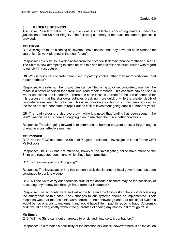#### <span id="page-4-0"></span>**6. GENERAL BUSINESS**

The Shire President called for any questions from Electors concerning matters under the jurisdiction of the Shire of Pingelly. The following summary of the questions and responses is provided:

#### **Mr O'Brien**

Q7: With regard to the cleaning of culverts, I have noticed that they have not been cleaned for years. Is this work planned in the near future?

Response: This is an issue which arises from the historical lack maintenance for these culverts. The Shire is now attempting to catch up with this and other similar historical issues with regard to our civil infrastructure.

Q8: Why is quick set concrete being used to patch potholes rather than more traditional road repair methods?

Response: A greater number of potholes can be filled using quick set concrete to maintain the roads in a better condition then traditional road repair methods. This concrete can be used in wetter conditions and is effective. There has been lessons learned for the use of concrete for this purpose – that the shallower potholes break up more quickly while the greater depth of concrete retains integrity for longer. This is an innovative solution which has been required as the roads are in a poor state of repair due to lack of investment going back a number of years.

Q9: The road verges are also overgrown while it is noted that funding has been spent in the 20/21 financial year is there an ongoing plan to maintain them in a better condition?

Response: The plan going forward is to commence a burning program to cover larger lengths of road in a cost effective manner.

#### **Mr Freebairn**

Q10: Has the CCC attended the Shire of Pingelly in relation to investigation into a former CEO Mr Pollock?

Response: The CCC has not attended, however the investigating police have attended the Shire and requested documents which have been provided.

Q11: Is the investigation still ongoing?

Response: The investigation into this person's activities in another local government has been concluded to our knowledge.

Q12: Will the Shire carry out a forensic audit of the accounts as there may be the possibility of recouping any money lost through fraud from our insurance?

Response: The accounts were audited at the time and the Shire asked the auditors following the emergence of this case if any changes to our systems should be implemented. Their response was that the accounts were correct to their knowledge and that additional systems would be too onerous to implement and would have little impact in reducing fraud. A forensic audit would be very costly without the guarantee of finding any money lost through fraud.

#### **Ms Steele**

Q13: Will the Shire carry out a targeted forensic audit into certain contractors?

Response: This remains a possibility at the direction of Council, however there is no indication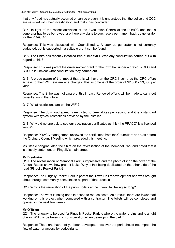that any fraud has actually occurred or can be proven. It is understood that the police and CCC are satisfied with their investigation and that it has concluded.

Q14: In light of the recent activation of the Evacuation Centre at the PRACC and that a generator had to be borrowed, are there any plans to purchase a permanent back up generator for the PRACC?

Response: This was discussed with Council today. A back up generator is not currently budgeted, but is supported if a suitable grant can be found.

Q15: The Shire has recently installed free public WIFI. Was any consultation carried out with regard to this?

Response: This was part of the driver reviver grant for the town hall under a previous CEO and CDO. It is unclear what consultation they carried out.

Q16: Are you aware of the impact that this will have on the CRC income as the CRC offers access to their WIFI system at a charge? This income is of the order of \$2,000 - \$3,000 per year.

Response: The Shire was not aware of this impact. Renewed efforts will be made to carry out consultation in the future.

Q17: What restrictions are on the WIFI?

Response: The download speed is restricted to 5megabites per second and it is a standard system with typical restrictions provided by the installer.

Q18: Why did no one ask to see our vaccination certificates as this (the PRACC) is a licenced venue?

Response: PRACC management reviewed the certificates from the Councillors and staff before the Ordinary Council Meeting which preceded this meeting.

Ms Steele congratulated the Shire on the revitalisation of the Memorial Park and noted that it is a lovely statement on Pingelly's main street.

#### **Mr Freebairn**

Q19: The revitalisation of Memorial Park is impressive and the photo of it on the cover of the Annual Report shows how great it looks. Why is this being duplicated on the other side of the road (Pingelly Pocket Park)?

Response: The Pingelly Pocket Park is part of the Town Hall redevelopment and was brought about through community consultation as part of that process.

Q20: Why is the renovation of the public toilets at the Town Hall taking so long?

Response: The work is being done in house to reduce costs. As a result, there are fewer staff working on this project when compared with a contractor. The toilets will be completed and opened in the next few weeks.

#### **Mr O'Brien**

Q21: The laneway to be used for Pingelly Pocket Park is where the water drains and is a right of way. Will this be taken into consideration when developing the park?

Response: The plans have not yet been developed, however the park should not impact the flow of water or access by pedestrians.